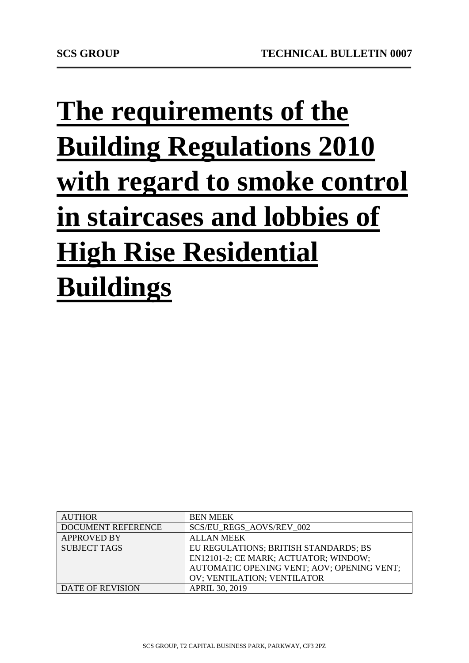## **The requirements of the Building Regulations 2010 with regard to smoke control in staircases and lobbies of High Rise Residential Buildings**

| <b>AUTHOR</b>           | <b>BEN MEEK</b>                            |
|-------------------------|--------------------------------------------|
| DOCUMENT REFERENCE      | <b>SCS/EU REGS AOVS/REV 002</b>            |
| <b>APPROVED BY</b>      | <b>ALLAN MEEK</b>                          |
| <b>SUBJECT TAGS</b>     | EU REGULATIONS; BRITISH STANDARDS; BS      |
|                         | EN12101-2; CE MARK; ACTUATOR; WINDOW;      |
|                         | AUTOMATIC OPENING VENT; AOV; OPENING VENT; |
|                         | OV; VENTILATION; VENTILATOR                |
| <b>DATE OF REVISION</b> | <b>APRIL 30, 2019</b>                      |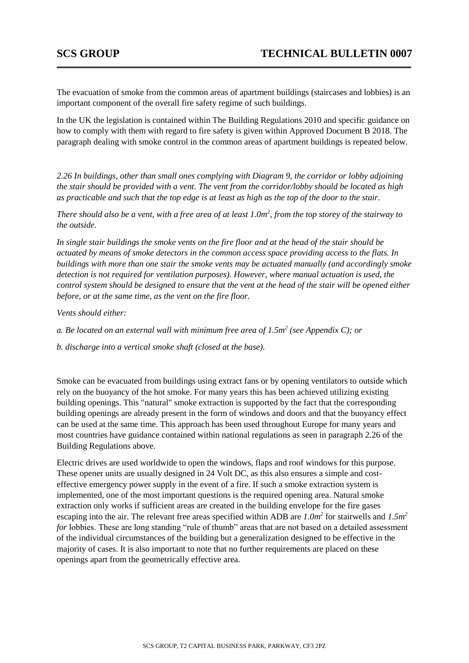The evacuation of smoke from the common areas of apartment buildings (staircases and lobbies) is an important component of the overall fire safety regime of such buildings.

In the UK the legislation is contained within The Building Regulations 2010 and specific guidance on how to comply with them with regard to fire safety is given within Approved Document B 2018. The paragraph dealing with smoke control in the common areas of apartment buildings is repeated below.

*2.26 In buildings, other than small ones complying with Diagram 9, the corridor or lobby adjoining the stair should be provided with a vent. The vent from the corridor/lobby should be located as high as practicable and such that the top edge is at least as high as the top of the door to the stair.* 

*There should also be a vent, with a free area of at least 1.0m<sup>2</sup>, from the top storey of the stairway to the outside.* 

*In single stair buildings the smoke vents on the fire floor and at the head of the stair should be actuated by means of smoke detectors in the common access space providing access to the flats. In buildings with more than one stair the smoke vents may be actuated manually (and accordingly smoke detection is not required for ventilation purposes). However, where manual actuation is used, the control system should be designed to ensure that the vent at the head of the stair will be opened either before, or at the same time, as the vent on the fire floor.* 

*Vents should either:* 

*a. Be located on an external wall with minimum free area of 1.5m<sup>2</sup> (see Appendix C); or* 

*b. discharge into a vertical smoke shaft (closed at the base).*

Smoke can be evacuated from buildings using extract fans or by opening ventilators to outside which rely on the buoyancy of the hot smoke. For many years this has been achieved utilizing existing building openings. This "natural" smoke extraction is supported by the fact that the corresponding building openings are already present in the form of windows and doors and that the buoyancy effect can be used at the same time. This approach has been used throughout Europe for many years and most countries have guidance contained within national regulations as seen in paragraph 2.26 of the Building Regulations above.

Electric drives are used worldwide to open the windows, flaps and roof windows for this purpose. These opener units are usually designed in 24 Volt DC, as this also ensures a simple and costeffective emergency power supply in the event of a fire. If such a smoke extraction system is implemented, one of the most important questions is the required opening area. Natural smoke extraction only works if sufficient areas are created in the building envelope for the fire gases escaping into the air. The relevant free areas specified within ADB are *1.0m<sup>2</sup>* for stairwells and *1.5m<sup>2</sup> for* lobbies. These are long standing "rule of thumb" areas that are not based on a detailed assessment of the individual circumstances of the building but a generalization designed to be effective in the majority of cases. It is also important to note that no further requirements are placed on these openings apart from the geometrically effective area.